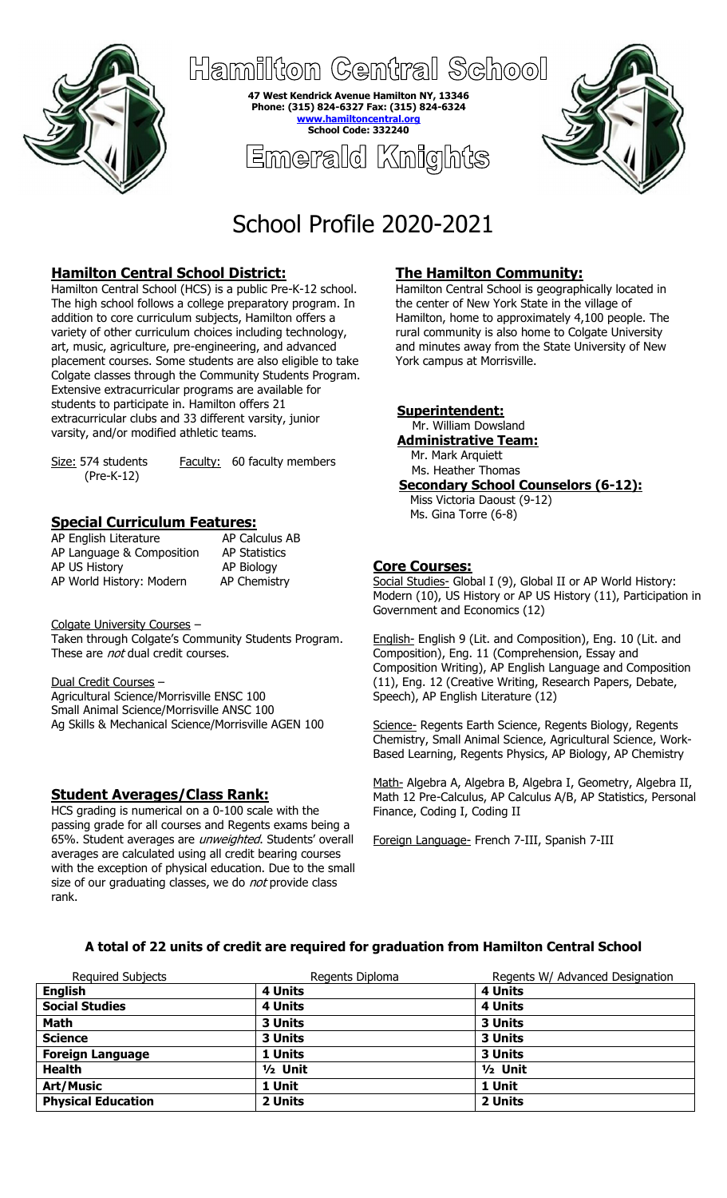

Hamiliton Central School

**47 West Kendrick Avenue Hamilton NY, 13346 Phone: (315) 824-6327 Fax: (315) 824-6324 hamiltoncent School Code: 332240**

Emerald Knights



# School Profile 2020-2021

# **Hamilton Central School District:**

Hamilton Central School (HCS) is a public Pre-K-12 school. The high school follows a college preparatory program. In addition to core curriculum subjects, Hamilton offers a variety of other curriculum choices including technology, art, music, agriculture, pre-engineering, and advanced placement courses. Some students are also eligible to take Colgate classes through the Community Students Program. Extensive extracurricular programs are available for students to participate in. Hamilton offers 21 extracurricular clubs and 33 different varsity, junior varsity, and/or modified athletic teams.

(Pre-K-12)

Size: 574 students Faculty: 60 faculty members

## **Special Curriculum Features:**

| AP English Literature     | AP Calculus AB       |
|---------------------------|----------------------|
| AP Language & Composition | <b>AP Statistics</b> |
| AP US History             | AP Biology           |
| AP World History: Modern  | <b>AP Chemistry</b>  |

Colgate University Courses –

Taken through Colgate's Community Students Program. These are *not* dual credit courses.

#### Dual Credit Courses –

Agricultural Science/Morrisville ENSC 100 Small Animal Science/Morrisville ANSC 100 Ag Skills & Mechanical Science/Morrisville AGEN 100

## **Student Averages/Class Rank:**

HCS grading is numerical on a 0-100 scale with the passing grade for all courses and Regents exams being a 65%. Student averages are *unweighted*. Students' overall averages are calculated using all credit bearing courses with the exception of physical education. Due to the small size of our graduating classes, we do *not* provide class rank.

# **The Hamilton Community:**

Hamilton Central School is geographically located in the center of New York State in the village of Hamilton, home to approximately 4,100 people. The rural community is also home to Colgate University and minutes away from the State University of New York campus at Morrisville.

## **Superintendent:**

 Mr. William Dowsland **Administrative Team:** Mr. Mark Arquiett

Ms. Heather Thomas **Secondary School Counselors (6-12):**

 Miss Victoria Daoust (9-12) Ms. Gina Torre (6-8)

## **Core Courses:**

Social Studies- Global I (9), Global II or AP World History: Modern (10), US History or AP US History (11), Participation in Government and Economics (12)

English- English 9 (Lit. and Composition), Eng. 10 (Lit. and Composition), Eng. 11 (Comprehension, Essay and Composition Writing), AP English Language and Composition (11), Eng. 12 (Creative Writing, Research Papers, Debate, Speech), AP English Literature (12)

Science- Regents Earth Science, Regents Biology, Regents Chemistry, Small Animal Science, Agricultural Science, Work-Based Learning, Regents Physics, AP Biology, AP Chemistry

Math- Algebra A, Algebra B, Algebra I, Geometry, Algebra II, Math 12 Pre-Calculus, AP Calculus A/B, AP Statistics, Personal Finance, Coding I, Coding II

Foreign Language- French 7-III, Spanish 7-III

## **A total of 22 units of credit are required for graduation from Hamilton Central School**

| <b>Required Subjects</b>  | Regents Diploma | Regents W/ Advanced Designation |
|---------------------------|-----------------|---------------------------------|
| <b>English</b>            | 4 Units         | 4 Units                         |
| <b>Social Studies</b>     | 4 Units         | 4 Units                         |
| <b>Math</b>               | 3 Units         | 3 Units                         |
| <b>Science</b>            | 3 Units         | 3 Units                         |
| <b>Foreign Language</b>   | 1 Units         | 3 Units                         |
| <b>Health</b>             | $1/2$ Unit      | $1/2$ Unit                      |
| <b>Art/Music</b>          | 1 Unit          | 1 Unit                          |
| <b>Physical Education</b> | 2 Units         | 2 Units                         |